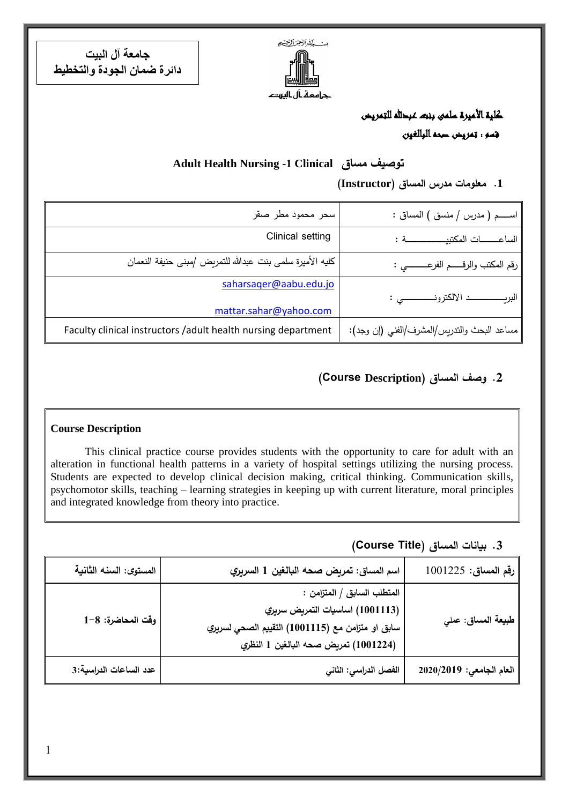

**جامعة آل البيت دائرة ضمان الجودة والتخطيط**

> كلية الأميرة سلمى بنبت عبدالله للتمريض قسم : تمريض صحه البالغين

#### **Adult Health Nursing -1 Clinical مساق توصيف**

**.1 معلومات مدرس المساق )Instructor)**

| اســــم ( مدرس / منسق ) المساق :             | سحر محمود مطر صقر                                              |
|----------------------------------------------|----------------------------------------------------------------|
| الساعــــــات المكتبيــــــــــــــــــــة : | Clinical setting                                               |
| رقم المكتب والرقـــــم الفرعــــــــــى :    | كليه الأميرة سلمي بنت عبدالله للتمريض /مبنى حنيفة النعمان      |
|                                              | saharsager@aabu.edu.jo<br>mattar.sahar@yahoo.com               |
| مساعد البحث والتدريس/المشرف/الفني (إن وجد):  | Faculty clinical instructors / adult health nursing department |

### **.2 وصف المساق )Description Course(**

#### **Course Description**

This clinical practice course provides students with the opportunity to care for adult with an alteration in functional health patterns in a variety of hospital settings utilizing the nursing process. Students are expected to develop clinical decision making, critical thinking. Communication skills, psychomotor skills, teaching – learning strategies in keeping up with current literature, moral principles and integrated knowledge from theory into practice.

**.3 بيانات المساق )Title Course)**

| رقم المساق: 1001225                     | اسم المساق: تمريض صحه البالغين 1 السريري                                                                                                                  | المستوى: السنه الثانية |
|-----------------------------------------|-----------------------------------------------------------------------------------------------------------------------------------------------------------|------------------------|
| <sub>،</sub> طبيعة المساق: عمل <i>ي</i> | المتطلب السابق / المتزامن :<br>(1001113) اساسيات التمريض سريري<br>سابق او متزامن مع (11115) التقييم الصحي لسريري<br>(1001224) تمريض صحه البالغين 1 النظري | وقت المحاضرة: 8–1      |
| العام الجامعي: 2020/2019                | الفصل الدراسي: الثاني                                                                                                                                     | عدد الساعات الدراسية:3 |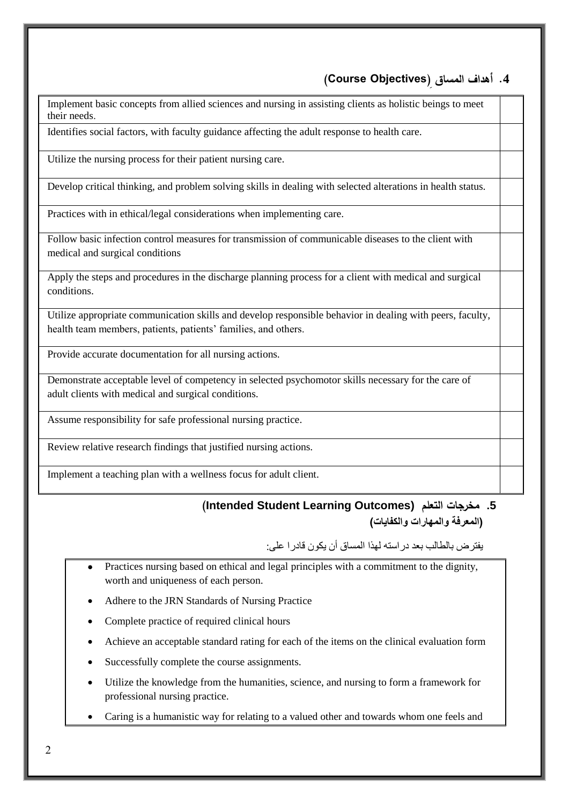#### **.4 أهداف المساق ) Objectives Course)**

Implement basic concepts from allied sciences and nursing in assisting clients as holistic beings to meet their needs.

1. Identifies social factors, with faculty guidance affecting the adult response to health care.

Utilize the nursing process for their patient nursing care.

3. Develop critical thinking, and problem solving skills in dealing with selected alterations in health status.

Practices with in ethical/legal considerations when implementing care.

4. Follow basic infection control measures for transmission of communicable diseases to the client with medical and surgical conditions

1. Apply the steps and procedures in the discharge planning process for a client with medical and surgical conditions.

Utilize appropriate communication skills and develop responsible behavior in dealing with peers, faculty, health team members, patients, patients' families, and others.

Provide accurate documentation for all nursing actions.

6. Demonstrate acceptable level of competency in selected psychomotor skills necessary for the care of adult clients with medical and surgical conditions.

Assume responsibility for safe professional nursing practice.

Review relative research findings that justified nursing actions.

Implement a teaching plan with a wellness focus for adult client.

#### **(Intended Student Learning Outcomes) التعلم مخرجات .5 )المعرفة والمهارات والكفايات(**

يفترض بالطالب بعد دراسته لهذا المساق أن يكون قادرا على:

- Practices nursing based on ethical and legal principles with a commitment to the dignity, worth and uniqueness of each person.
- Adhere to the JRN Standards of Nursing Practice
- Complete practice of required clinical hours
- Achieve an acceptable standard rating for each of the items on the clinical evaluation form
- Successfully complete the course assignments.
- Utilize the knowledge from the humanities, science, and nursing to form a framework for professional nursing practice.
- Caring is a humanistic way for relating to a valued other and towards whom one feels and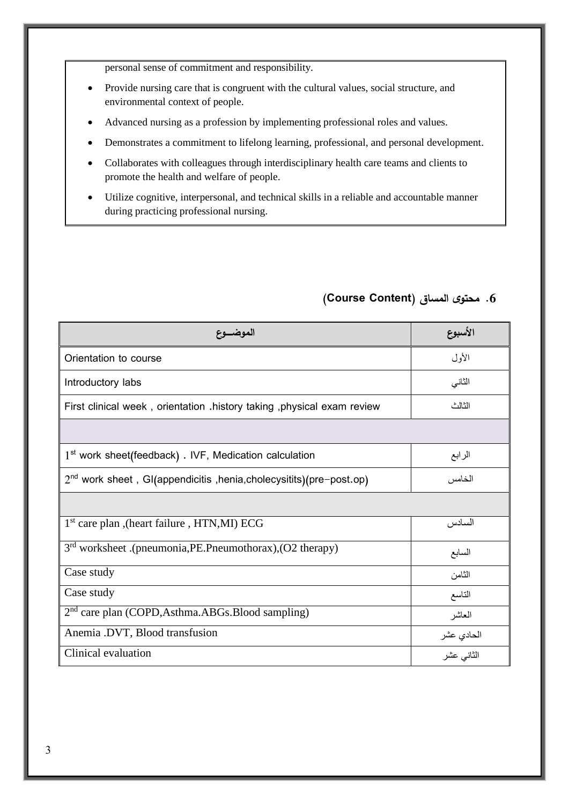personal sense of commitment and responsibility.

- Provide nursing care that is congruent with the cultural values, social structure, and environmental context of people.
- Advanced nursing as a profession by implementing professional roles and values.
- Demonstrates a commitment to lifelong learning, professional, and personal development.
- Collaborates with colleagues through interdisciplinary health care teams and clients to promote the health and welfare of people.
- Utilize cognitive, interpersonal, and technical skills in a reliable and accountable manner during practicing professional nursing.

| الموضسوع                                                                | الأسبوع    |
|-------------------------------------------------------------------------|------------|
| Orientation to course                                                   | الأول      |
| Introductory labs                                                       | الثاني     |
| First clinical week, orientation .history taking, physical exam review  | الثالث     |
|                                                                         |            |
| 1 <sup>st</sup> work sheet(feedback). IVF, Medication calculation       | الرابع     |
| $2nd$ work sheet, GI(appendicitis, henia, cholecy sitits) (pre-post.op) | الخامس     |
|                                                                         |            |
| 1 <sup>st</sup> care plan , (heart failure, HTN, MI) ECG                | السادس     |
| $3rd$ worksheet .(pneumonia, PE. Pneumothorax), (O2 therapy)            | السابع     |
| Case study                                                              | الثامن     |
| Case study                                                              | التاسع     |
| 2 <sup>nd</sup> care plan (COPD, Asthma. ABGs. Blood sampling)          | العاشر     |
| Anemia .DVT, Blood transfusion                                          | الحادي عشر |
| Clinical evaluation                                                     | الثاني عشر |

#### **.6 محتوى المساق )Content Course)**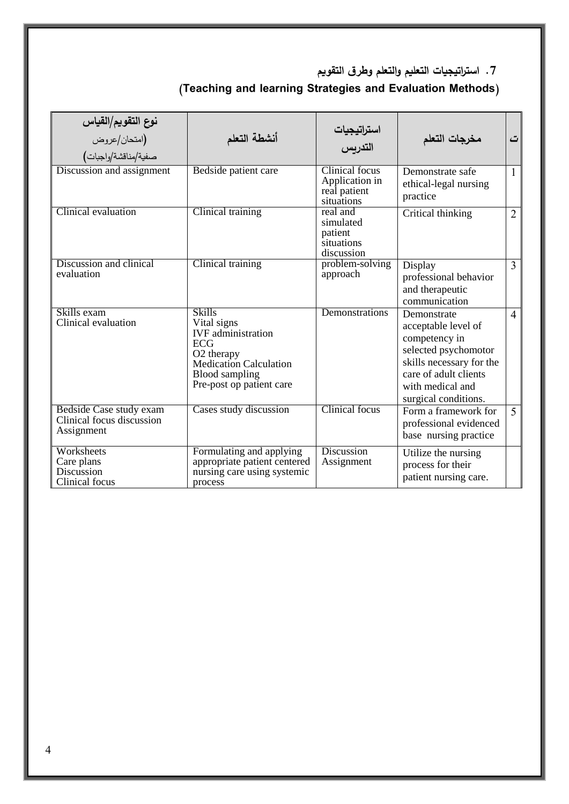**.7 است ارتيجيات التعليم والتعلم وطرق التقويم**

# **)Teaching and learning Strategies and Evaluation Methods(**

| نوع التقويم/القياس<br>(امتحان/عروض<br>صفية/مناقشة/واجبات)          | أنشطة التعلم                                                                                                                                                         | استراتيجيات<br>التدربس                                         | مخرجات التعلم                                                                                                                                                                | ت                        |
|--------------------------------------------------------------------|----------------------------------------------------------------------------------------------------------------------------------------------------------------------|----------------------------------------------------------------|------------------------------------------------------------------------------------------------------------------------------------------------------------------------------|--------------------------|
| Discussion and assignment                                          | Bedside patient care                                                                                                                                                 | Clinical focus<br>Application in<br>real patient<br>situations | Demonstrate safe<br>ethical-legal nursing<br>practice                                                                                                                        | $\mathbf{1}$             |
| Clinical evaluation                                                | Clinical training                                                                                                                                                    | real and<br>simulated<br>patient<br>situations<br>discussion   | Critical thinking                                                                                                                                                            | $\overline{2}$           |
| Discussion and clinical<br>evaluation                              | Clinical training                                                                                                                                                    | problem-solving<br>approach                                    | Display<br>professional behavior<br>and therapeutic<br>communication                                                                                                         | 3                        |
| Skills exam<br>Clinical evaluation                                 | <b>Skills</b><br>Vital signs<br><b>IVF</b> administration<br><b>ECG</b><br>O2 therapy<br>Medication Calculation<br><b>Blood sampling</b><br>Pre-post op patient care | Demonstrations                                                 | Demonstrate<br>acceptable level of<br>competency in<br>selected psychomotor<br>skills necessary for the<br>care of adult clients<br>with medical and<br>surgical conditions. | $\overline{4}$           |
| Bedside Case study exam<br>Clinical focus discussion<br>Assignment | Cases study discussion                                                                                                                                               | <b>Clinical</b> focus                                          | Form a framework for<br>professional evidenced<br>base nursing practice                                                                                                      | $\overline{\mathcal{L}}$ |
| Worksheets<br>Care plans<br>Discussion<br>Clinical focus           | Formulating and applying<br>appropriate patient centered<br>nursing care using systemic<br>process                                                                   | <b>Discussion</b><br>Assignment                                | Utilize the nursing<br>process for their<br>patient nursing care.                                                                                                            |                          |